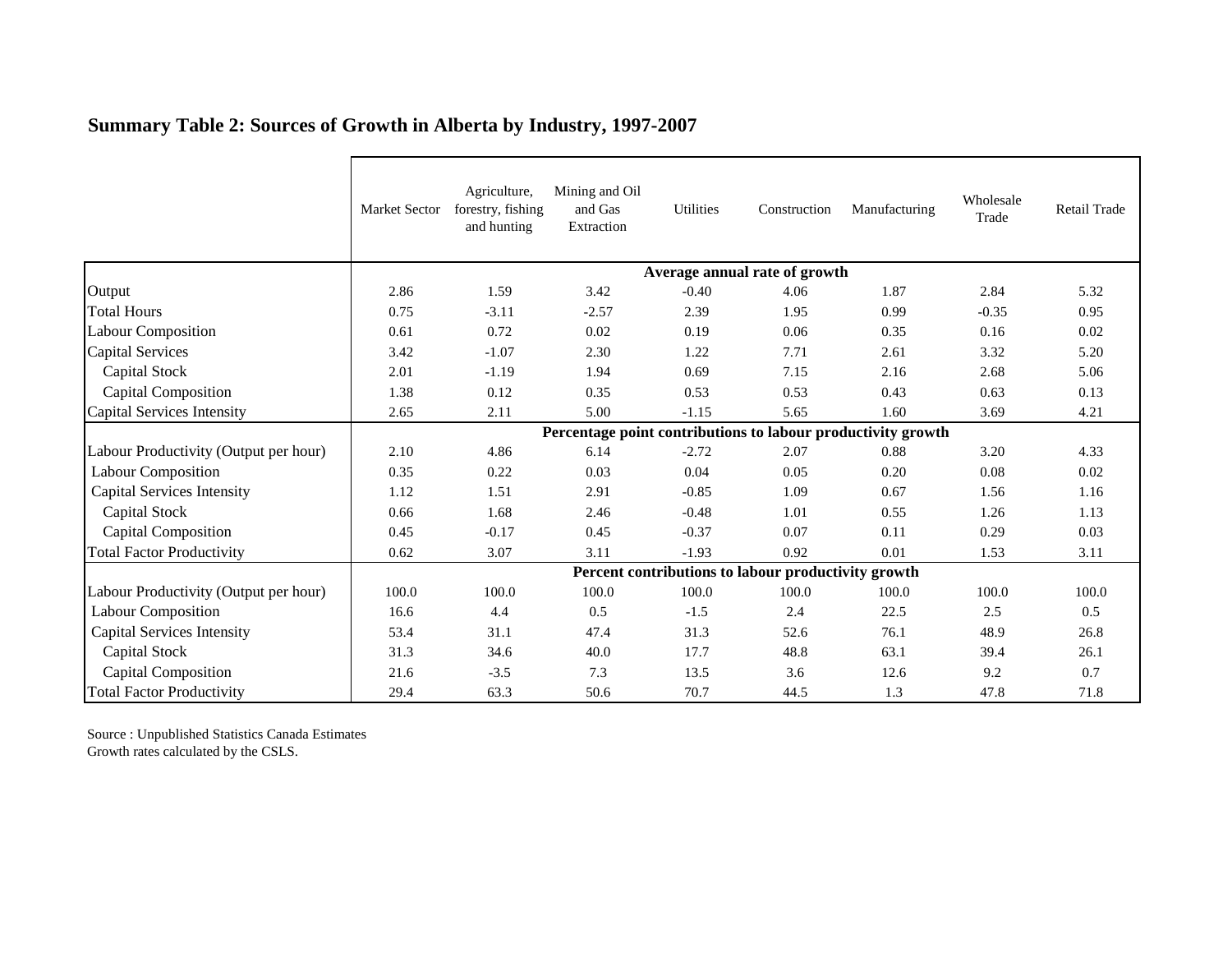|                                       | Market Sector                                                | Agriculture,<br>forestry, fishing<br>and hunting | Mining and Oil<br>and Gas<br>Extraction | Utilities | Construction | Manufacturing | Wholesale<br>Trade | Retail Trade |  |  |  |
|---------------------------------------|--------------------------------------------------------------|--------------------------------------------------|-----------------------------------------|-----------|--------------|---------------|--------------------|--------------|--|--|--|
|                                       | Average annual rate of growth                                |                                                  |                                         |           |              |               |                    |              |  |  |  |
| Output                                | 2.86                                                         | 1.59                                             | 3.42                                    | $-0.40$   | 4.06         | 1.87          | 2.84               | 5.32         |  |  |  |
| <b>Total Hours</b>                    | 0.75                                                         | $-3.11$                                          | $-2.57$                                 | 2.39      | 1.95         | 0.99          | $-0.35$            | 0.95         |  |  |  |
| <b>Labour Composition</b>             | 0.61                                                         | 0.72                                             | 0.02                                    | 0.19      | 0.06         | 0.35          | 0.16               | 0.02         |  |  |  |
| Capital Services                      | 3.42                                                         | $-1.07$                                          | 2.30                                    | 1.22      | 7.71         | 2.61          | 3.32               | 5.20         |  |  |  |
| <b>Capital Stock</b>                  | 2.01                                                         | $-1.19$                                          | 1.94                                    | 0.69      | 7.15         | 2.16          | 2.68               | 5.06         |  |  |  |
| <b>Capital Composition</b>            | 1.38                                                         | 0.12                                             | 0.35                                    | 0.53      | 0.53         | 0.43          | 0.63               | 0.13         |  |  |  |
| Capital Services Intensity            | 2.65                                                         | 2.11                                             | 5.00                                    | $-1.15$   | 5.65         | 1.60          | 3.69               | 4.21         |  |  |  |
|                                       | Percentage point contributions to labour productivity growth |                                                  |                                         |           |              |               |                    |              |  |  |  |
| Labour Productivity (Output per hour) | 2.10                                                         | 4.86                                             | 6.14                                    | $-2.72$   | 2.07         | 0.88          | 3.20               | 4.33         |  |  |  |
| <b>Labour Composition</b>             | 0.35                                                         | 0.22                                             | 0.03                                    | 0.04      | 0.05         | 0.20          | 0.08               | 0.02         |  |  |  |
| <b>Capital Services Intensity</b>     | 1.12                                                         | 1.51                                             | 2.91                                    | $-0.85$   | 1.09         | 0.67          | 1.56               | 1.16         |  |  |  |
| <b>Capital Stock</b>                  | 0.66                                                         | 1.68                                             | 2.46                                    | $-0.48$   | 1.01         | 0.55          | 1.26               | 1.13         |  |  |  |
| <b>Capital Composition</b>            | 0.45                                                         | $-0.17$                                          | 0.45                                    | $-0.37$   | 0.07         | 0.11          | 0.29               | 0.03         |  |  |  |
| <b>Total Factor Productivity</b>      | 0.62                                                         | 3.07                                             | 3.11                                    | $-1.93$   | 0.92         | 0.01          | 1.53               | 3.11         |  |  |  |
|                                       | Percent contributions to labour productivity growth          |                                                  |                                         |           |              |               |                    |              |  |  |  |
| Labour Productivity (Output per hour) | 100.0                                                        | 100.0                                            | 100.0                                   | 100.0     | 100.0        | 100.0         | 100.0              | 100.0        |  |  |  |
| <b>Labour Composition</b>             | 16.6                                                         | 4.4                                              | 0.5                                     | $-1.5$    | 2.4          | 22.5          | 2.5                | 0.5          |  |  |  |
| <b>Capital Services Intensity</b>     | 53.4                                                         | 31.1                                             | 47.4                                    | 31.3      | 52.6         | 76.1          | 48.9               | 26.8         |  |  |  |
| Capital Stock                         | 31.3                                                         | 34.6                                             | 40.0                                    | 17.7      | 48.8         | 63.1          | 39.4               | 26.1         |  |  |  |
| Capital Composition                   | 21.6                                                         | $-3.5$                                           | 7.3                                     | 13.5      | 3.6          | 12.6          | 9.2                | 0.7          |  |  |  |
| <b>Total Factor Productivity</b>      | 29.4                                                         | 63.3                                             | 50.6                                    | 70.7      | 44.5         | 1.3           | 47.8               | 71.8         |  |  |  |

## **Summary Table 2: Sources of Growth in Alberta by Industry, 1997-2007**

Source : Unpublished Statistics Canada Estimates Growth rates calculated by the CSLS.